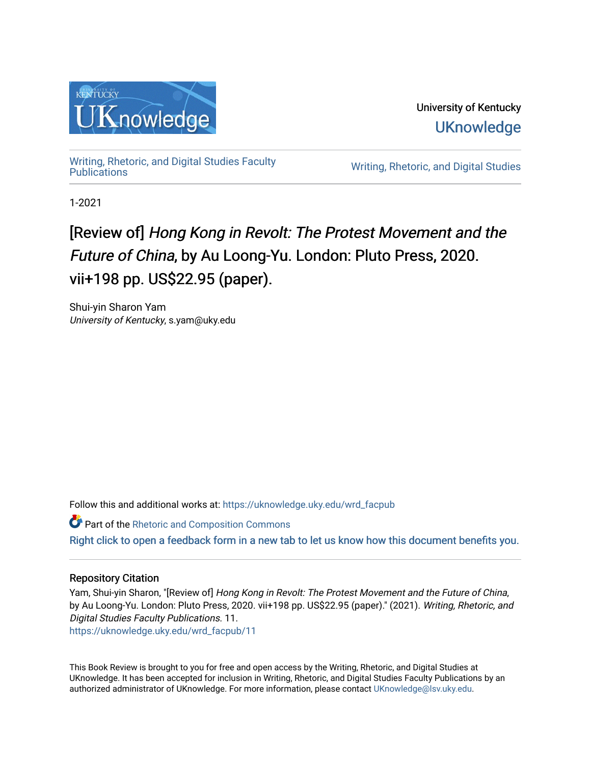

University of Kentucky **UKnowledge** 

Writing, Rhetoric, and Digital Studies Faculty<br>Publications

Writing, Rhetoric, and Digital Studies

1-2021

# [Review of] Hong Kong in Revolt: The Protest Movement and the Future of China, by Au Loong-Yu. London: Pluto Press, 2020. vii+198 pp. US\$22.95 (paper).

Shui-yin Sharon Yam University of Kentucky, s.yam@uky.edu

Follow this and additional works at: [https://uknowledge.uky.edu/wrd\\_facpub](https://uknowledge.uky.edu/wrd_facpub?utm_source=uknowledge.uky.edu%2Fwrd_facpub%2F11&utm_medium=PDF&utm_campaign=PDFCoverPages)

**Part of the [Rhetoric and Composition Commons](http://network.bepress.com/hgg/discipline/573?utm_source=uknowledge.uky.edu%2Fwrd_facpub%2F11&utm_medium=PDF&utm_campaign=PDFCoverPages)** [Right click to open a feedback form in a new tab to let us know how this document benefits you.](https://uky.az1.qualtrics.com/jfe/form/SV_9mq8fx2GnONRfz7)

### Repository Citation

Yam, Shui-yin Sharon, "[Review of] Hong Kong in Revolt: The Protest Movement and the Future of China, by Au Loong-Yu. London: Pluto Press, 2020. vii+198 pp. US\$22.95 (paper)." (2021). Writing, Rhetoric, and Digital Studies Faculty Publications. 11. [https://uknowledge.uky.edu/wrd\\_facpub/11](https://uknowledge.uky.edu/wrd_facpub/11?utm_source=uknowledge.uky.edu%2Fwrd_facpub%2F11&utm_medium=PDF&utm_campaign=PDFCoverPages) 

This Book Review is brought to you for free and open access by the Writing, Rhetoric, and Digital Studies at UKnowledge. It has been accepted for inclusion in Writing, Rhetoric, and Digital Studies Faculty Publications by an authorized administrator of UKnowledge. For more information, please contact [UKnowledge@lsv.uky.edu](mailto:UKnowledge@lsv.uky.edu).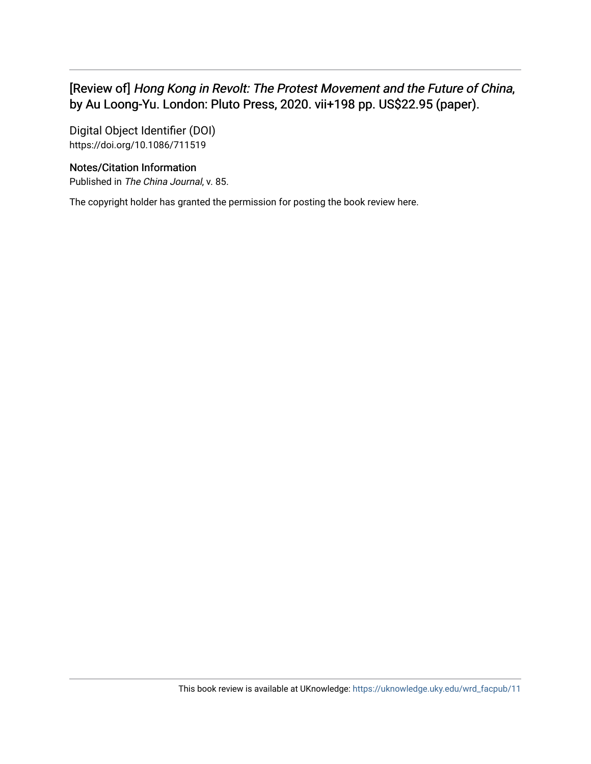## [Review of] Hong Kong in Revolt: The Protest Movement and the Future of China, by Au Loong-Yu. London: Pluto Press, 2020. vii+198 pp. US\$22.95 (paper).

Digital Object Identifier (DOI) https://doi.org/10.1086/711519

### Notes/Citation Information

Published in The China Journal, v. 85.

The copyright holder has granted the permission for posting the book review here.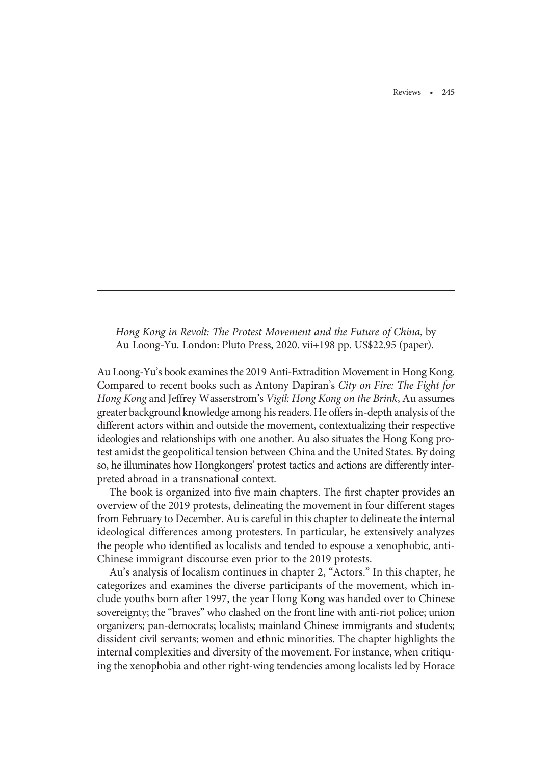Reviews • 245

Hong Kong in Revolt: The Protest Movement and the Future of China, by Au Loong-Yu. London: Pluto Press, 2020. vii+198 pp. US\$22.95 (paper).

Au Loong-Yu's book examines the 2019 Anti-Extradition Movement in Hong Kong. Compared to recent books such as Antony Dapiran's City on Fire: The Fight for Hong Kong and Jeffrey Wasserstrom's Vigil: Hong Kong on the Brink, Au assumes greater background knowledge among his readers. He offers in-depth analysis of the different actors within and outside the movement, contextualizing their respective ideologies and relationships with one another. Au also situates the Hong Kong protest amidst the geopolitical tension between China and the United States. By doing so, he illuminates how Hongkongers' protest tactics and actions are differently interpreted abroad in a transnational context.

The book is organized into five main chapters. The first chapter provides an overview of the 2019 protests, delineating the movement in four different stages from February to December. Au is careful in this chapter to delineate the internal ideological differences among protesters. In particular, he extensively analyzes the people who identified as localists and tended to espouse a xenophobic, anti-Chinese immigrant discourse even prior to the 2019 protests.

Au's analysis of localism continues in chapter 2, "Actors." In this chapter, he categorizes and examines the diverse participants of the movement, which include youths born after 1997, the year Hong Kong was handed over to Chinese sovereignty; the "braves" who clashed on the front line with anti-riot police; union organizers; pan-democrats; localists; mainland Chinese immigrants and students; dissident civil servants; women and ethnic minorities. The chapter highlights the internal complexities and diversity of the movement. For instance, when critiquing the xenophobia and other right-wing tendencies among localists led by Horace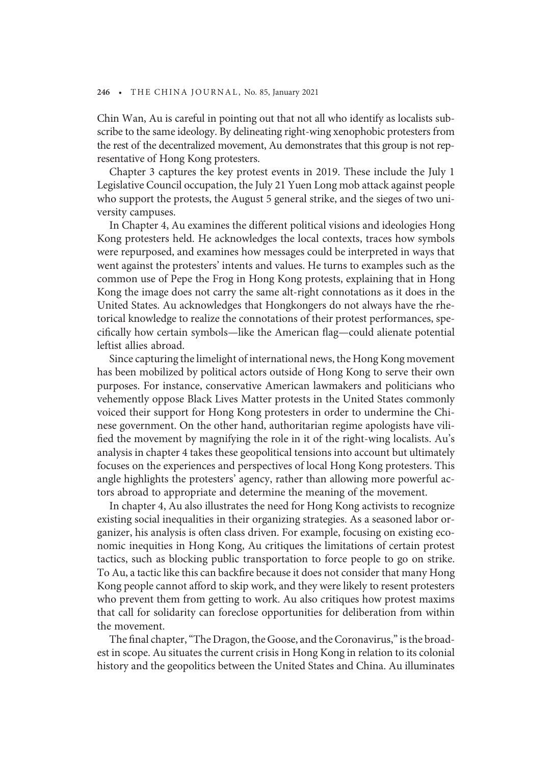#### 246 • THE CHINA JOURNAL, No. 85, January 2021

Chin Wan, Au is careful in pointing out that not all who identify as localists subscribe to the same ideology. By delineating right-wing xenophobic protesters from the rest of the decentralized movement, Au demonstrates that this group is not representative of Hong Kong protesters.

Chapter 3 captures the key protest events in 2019. These include the July 1 Legislative Council occupation, the July 21 Yuen Long mob attack against people who support the protests, the August 5 general strike, and the sieges of two university campuses.

In Chapter 4, Au examines the different political visions and ideologies Hong Kong protesters held. He acknowledges the local contexts, traces how symbols were repurposed, and examines how messages could be interpreted in ways that went against the protesters' intents and values. He turns to examples such as the common use of Pepe the Frog in Hong Kong protests, explaining that in Hong Kong the image does not carry the same alt-right connotations as it does in the United States. Au acknowledges that Hongkongers do not always have the rhetorical knowledge to realize the connotations of their protest performances, specifically how certain symbols—like the American flag—could alienate potential leftist allies abroad.

Since capturing the limelight of international news, the Hong Kong movement has been mobilized by political actors outside of Hong Kong to serve their own purposes. For instance, conservative American lawmakers and politicians who vehemently oppose Black Lives Matter protests in the United States commonly voiced their support for Hong Kong protesters in order to undermine the Chinese government. On the other hand, authoritarian regime apologists have vilified the movement by magnifying the role in it of the right-wing localists. Au's analysis in chapter 4 takes these geopolitical tensions into account but ultimately focuses on the experiences and perspectives of local Hong Kong protesters. This angle highlights the protesters' agency, rather than allowing more powerful actors abroad to appropriate and determine the meaning of the movement.

In chapter 4, Au also illustrates the need for Hong Kong activists to recognize existing social inequalities in their organizing strategies. As a seasoned labor organizer, his analysis is often class driven. For example, focusing on existing economic inequities in Hong Kong, Au critiques the limitations of certain protest tactics, such as blocking public transportation to force people to go on strike. To Au, a tactic like this can backfire because it does not consider that many Hong Kong people cannot afford to skip work, and they were likely to resent protesters who prevent them from getting to work. Au also critiques how protest maxims that call for solidarity can foreclose opportunities for deliberation from within the movement.

The final chapter, "The Dragon, the Goose, and the Coronavirus," is the broadest in scope. Au situates the current crisis in Hong Kong in relation to its colonial history and the geopolitics between the United States and China. Au illuminates